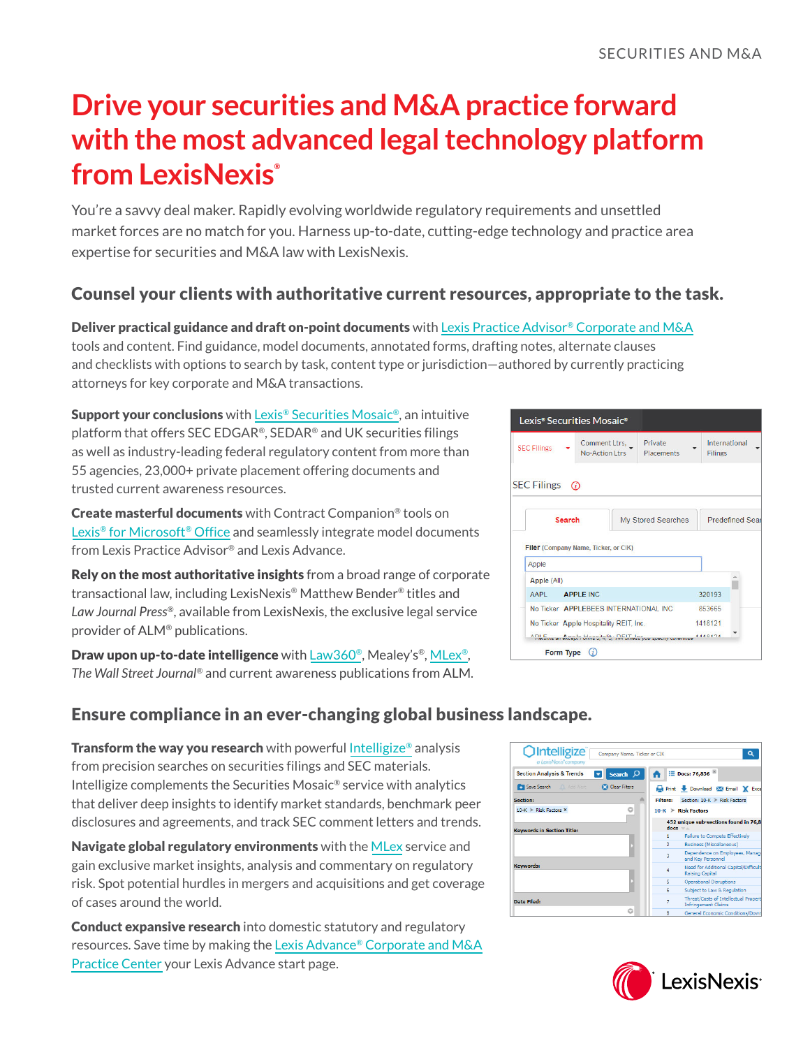# **Drive your securities and M&A practice forward with the most advanced legal technology platform from LexisNexis®**

You're a savvy deal maker. Rapidly evolving worldwide regulatory requirements and unsettled market forces are no match for you. Harness up-to-date, cutting-edge technology and practice area expertise for securities and M&A law with LexisNexis.

## Counsel your clients with authoritative current resources, appropriate to the task.

Deliver practical guidance and draft on-point documents with [Lexis Practice Advisor® Corporate and M&A](https://advance.lexis.com/api/permalink/7b1bf058-24b1-43ff-9f93-8ba1b1cb3d16/?context=1000522) tools and content. Find guidance, model documents, annotated forms, drafting notes, alternate clauses and checklists with options to search by task, content type or jurisdiction—authored by currently practicing attorneys for key corporate and M&A transactions.

**Support your conclusions** with Lexis<sup>®</sup> Securities Mosaic<sup>®</sup>, an intuitive platform that offers SEC EDGAR®, SEDAR® and UK securities filings as well as industry-leading federal regulatory content from more than 55 agencies, 23,000+ private placement offering documents and trusted current awareness resources.

Create masterful documents with Contract Companion® tools on [Lexis® for Microsoft® Office](https://www.lexisnexis.com/en-us/products/lexis-for-microsoft-office.page) and seamlessly integrate model documents from Lexis Practice Advisor® and Lexis Advance.

Rely on the most authoritative insights from a broad range of corporate transactional law, including LexisNexis® Matthew Bender® titles and *Law Journal Press®*, available from LexisNexis, the exclusive legal service provider of ALM® publications.

Draw upon up-to-date intelligence with [Law360®,](https://www.law360.com/mergersacquisitions) Mealey's®, [MLex®,](https://mlexmarketinsight.com/expertise/mergers) *The Wall Street Journal®* and current awareness publications from ALM.

| Lexis® Securities Mosaic®                  |    |                                        |                                                                            |         |                                 |
|--------------------------------------------|----|----------------------------------------|----------------------------------------------------------------------------|---------|---------------------------------|
| <b>SEC Filings</b>                         |    | Comment Ltrs.<br>No-Action Ltrs        | Private<br>Placements                                                      |         | International<br><b>Filings</b> |
| <b>SEC Filings</b>                         | G) |                                        |                                                                            |         |                                 |
| <b>Search</b><br><b>My Stored Searches</b> |    |                                        | <b>Predefined Sear</b>                                                     |         |                                 |
|                                            |    |                                        |                                                                            |         |                                 |
|                                            |    | Filer (Company Name, Ticker, or CIK)   |                                                                            |         |                                 |
| Apple                                      |    |                                        |                                                                            |         |                                 |
| Apple (All)                                |    |                                        |                                                                            |         |                                 |
| AAPL <b>APPLE INC</b>                      |    |                                        |                                                                            | 320193  |                                 |
|                                            |    | No Ticker APPLEBEES INTERNATIONAL INC  |                                                                            | 853665  |                                 |
|                                            |    | No Ticker Apple Hospitality REIT, Inc. |                                                                            | 1418121 |                                 |
|                                            |    |                                        | A REIGns an excepta binsative to the UT of Salvo specify undermise 1419101 |         |                                 |

# Ensure compliance in an ever-changing global business landscape.

Transform the way you research with powerful [Intelligize®](https://www.lexisnexis.com/en-us/products/lexis-practice-advisor/transaction-search-feature.page) analysis from precision searches on securities filings and SEC materials. Intelligize complements the Securities Mosaic® service with analytics that deliver deep insights to identify market standards, benchmark peer disclosures and agreements, and track SEC comment letters and trends.

Navigate global regulatory environments with the [MLex](https://mlexmarketinsight.com/expertise/mergers) service and gain exclusive market insights, analysis and commentary on regulatory risk. Spot potential hurdles in mergers and acquisitions and get coverage of cases around the world.

Conduct expansive research into domestic statutory and regulatory resources. Save time by making the [Lexis Advance® Corporate and M&A](https://advance.lexis.com/api/permalink/a83c5a30-f17c-4b4e-80cb-4252c698f558/?context=1000516) [Practice Center](https://advance.lexis.com/api/permalink/a83c5a30-f17c-4b4e-80cb-4252c698f558/?context=1000516) your Lexis Advance start page.